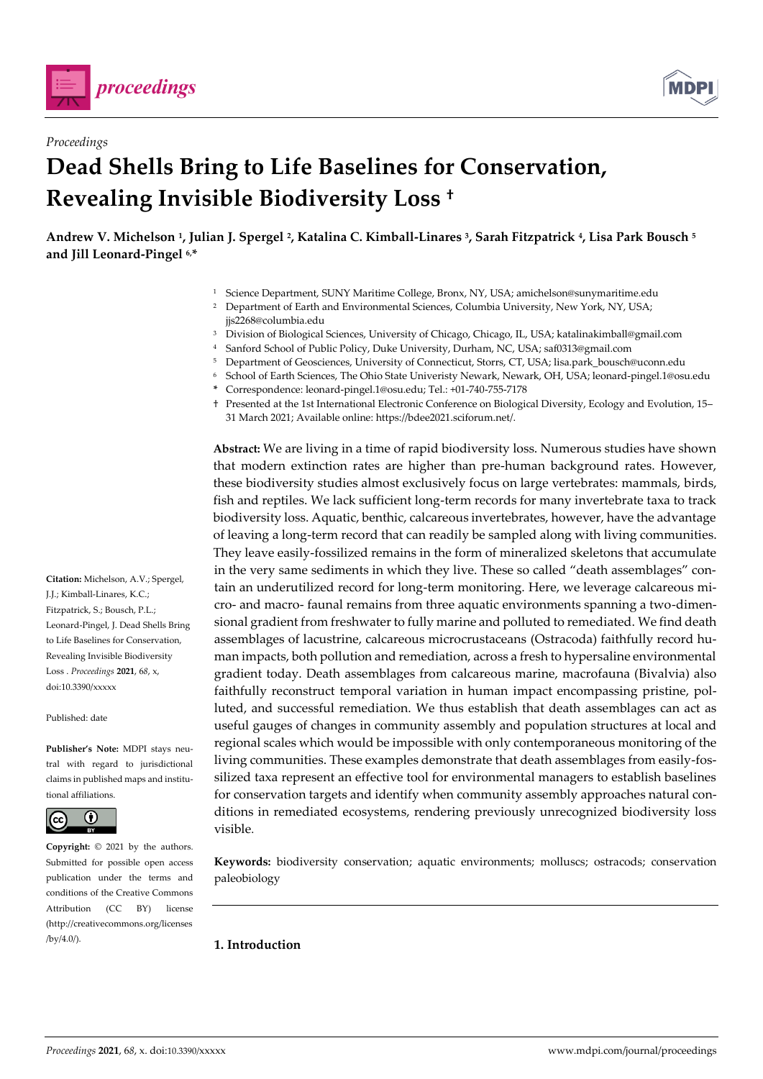



# *Proceedings* **Dead Shells Bring to Life Baselines for Conservation, Revealing Invisible Biodiversity Loss †**

**Andrew V. Michelson <sup>1</sup> , Julian J. Spergel <sup>2</sup> , Katalina C. Kimball-Linares <sup>3</sup> , Sarah Fitzpatrick <sup>4</sup> , Lisa Park Bousch <sup>5</sup> and Jill Leonard-Pingel 6,\***

- <sup>1</sup> Science Department, SUNY Maritime College, Bronx, NY, USA; amichelson@sunymaritime.edu
- <sup>2</sup> Department of Earth and Environmental Sciences, Columbia University, New York, NY, USA; jjs2268@columbia.edu
- <sup>3</sup> Division of Biological Sciences, University of Chicago, Chicago, IL, USA; katalinakimball@gmail.com
- <sup>4</sup> Sanford School of Public Policy, Duke University, Durham, NC, USA; saf0313@gmail.com
- <sup>5</sup> Department of Geosciences, University of Connecticut, Storrs, CT, USA; lisa.park\_bousch@uconn.edu
- <sup>6</sup> School of Earth Sciences, The Ohio State Univeristy Newark, Newark, OH, USA; leonard-pingel.1@osu.edu
- **\*** Correspondence: leonard-pingel.1@osu.edu; Tel.: +01-740-755-7178
- † Presented at the 1st International Electronic Conference on Biological Diversity, Ecology and Evolution, 15– 31 March 2021; Available online: https://bdee2021.sciforum.net/.

**Abstract:** We are living in a time of rapid biodiversity loss. Numerous studies have shown that modern extinction rates are higher than pre-human background rates. However, these biodiversity studies almost exclusively focus on large vertebrates: mammals, birds, fish and reptiles. We lack sufficient long-term records for many invertebrate taxa to track biodiversity loss. Aquatic, benthic, calcareous invertebrates, however, have the advantage of leaving a long-term record that can readily be sampled along with living communities. They leave easily-fossilized remains in the form of mineralized skeletons that accumulate in the very same sediments in which they live. These so called "death assemblages" contain an underutilized record for long-term monitoring. Here, we leverage calcareous micro- and macro- faunal remains from three aquatic environments spanning a two-dimensional gradient from freshwater to fully marine and polluted to remediated. We find death assemblages of lacustrine, calcareous microcrustaceans (Ostracoda) faithfully record human impacts, both pollution and remediation, across a fresh to hypersaline environmental gradient today. Death assemblages from calcareous marine, macrofauna (Bivalvia) also faithfully reconstruct temporal variation in human impact encompassing pristine, polluted, and successful remediation. We thus establish that death assemblages can act as useful gauges of changes in community assembly and population structures at local and regional scales which would be impossible with only contemporaneous monitoring of the living communities. These examples demonstrate that death assemblages from easily-fossilized taxa represent an effective tool for environmental managers to establish baselines for conservation targets and identify when community assembly approaches natural conditions in remediated ecosystems, rendering previously unrecognized biodiversity loss visible.

**Keywords:** biodiversity conservation; aquatic environments; molluscs; ostracods; conservation paleobiology

**1. Introduction**

**Citation:** Michelson, A.V.; Spergel, J.J.; Kimball-Linares, K.C.; Fitzpatrick, S.; Bousch, P.L.; Leonard-Pingel, J. Dead Shells Bring to Life Baselines for Conservation, Revealing Invisible Biodiversity Loss . *Proceedings* **2021**, 6*8*, x, doi:10.3390/xxxxx

Published: date

**Publisher's Note:** MDPI stays neutral with regard to jurisdictional claims in published maps and institutional affiliations.



**Copyright:** © 2021 by the authors. Submitted for possible open access publication under the terms and conditions of the Creative Commons Attribution (CC BY) license (http://creativecommons.org/licenses  $/bv/4.0/$ ).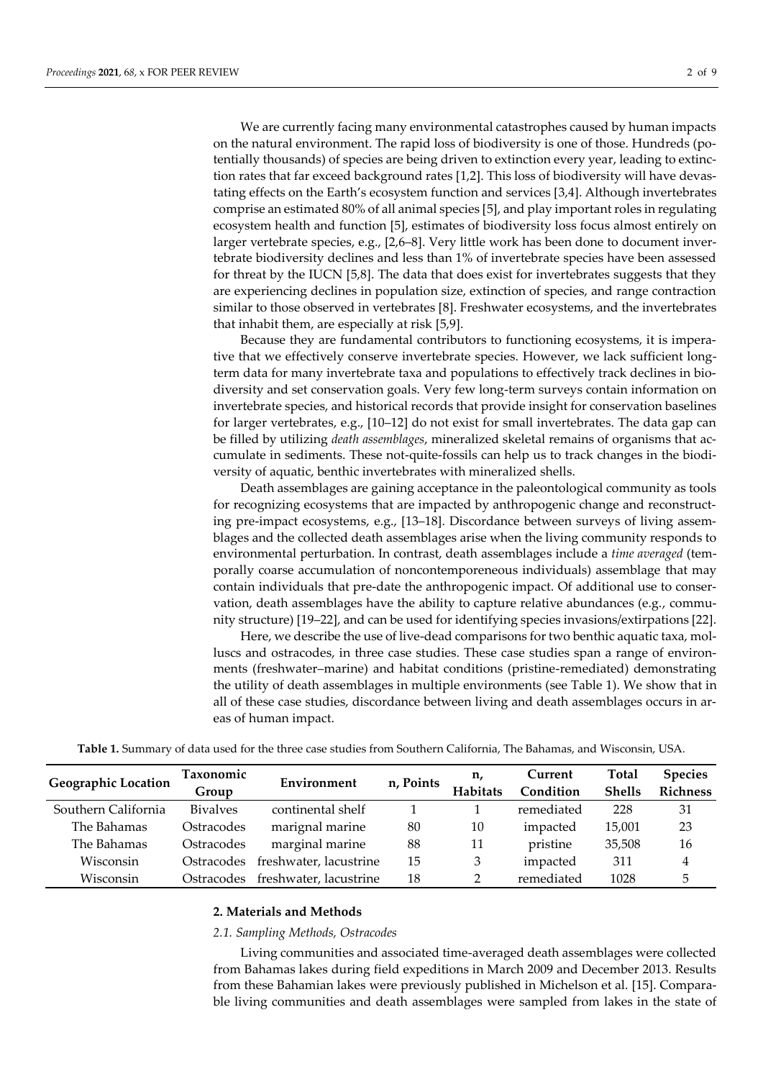We are currently facing many environmental catastrophes caused by human impacts on the natural environment. The rapid loss of biodiversity is one of those. Hundreds (potentially thousands) of species are being driven to extinction every year, leading to extinction rates that far exceed background rates [1,2]. This loss of biodiversity will have devastating effects on the Earth's ecosystem function and services [3,4]. Although invertebrates comprise an estimated 80% of all animal species [5], and play important roles in regulating ecosystem health and function [5], estimates of biodiversity loss focus almost entirely on larger vertebrate species, e.g., [2,6-8]. Very little work has been done to document invertebrate biodiversity declines and less than 1% of invertebrate species have been assessed for threat by the IUCN [5,8]. The data that does exist for invertebrates suggests that they are experiencing declines in population size, extinction of species, and range contraction similar to those observed in vertebrates [8]. Freshwater ecosystems, and the invertebrates that inhabit them, are especially at risk [5,9].

Because they are fundamental contributors to functioning ecosystems, it is imperative that we effectively conserve invertebrate species. However, we lack sufficient longterm data for many invertebrate taxa and populations to effectively track declines in biodiversity and set conservation goals. Very few long-term surveys contain information on invertebrate species, and historical records that provide insight for conservation baselines for larger vertebrates, e.g., [10–12] do not exist for small invertebrates. The data gap can be filled by utilizing *death assemblages*, mineralized skeletal remains of organisms that accumulate in sediments. These not-quite-fossils can help us to track changes in the biodiversity of aquatic, benthic invertebrates with mineralized shells.

Death assemblages are gaining acceptance in the paleontological community as tools for recognizing ecosystems that are impacted by anthropogenic change and reconstructing pre-impact ecosystems, e.g., [13–18]. Discordance between surveys of living assemblages and the collected death assemblages arise when the living community responds to environmental perturbation. In contrast, death assemblages include a *time averaged* (temporally coarse accumulation of noncontemporeneous individuals) assemblage that may contain individuals that pre-date the anthropogenic impact. Of additional use to conservation, death assemblages have the ability to capture relative abundances (e.g., community structure) [19–22], and can be used for identifying species invasions/extirpations [22].

Here, we describe the use of live-dead comparisons for two benthic aquatic taxa, molluscs and ostracodes, in three case studies. These case studies span a range of environments (freshwater–marine) and habitat conditions (pristine-remediated) demonstrating the utility of death assemblages in multiple environments (see Table 1). We show that in all of these case studies, discordance between living and death assemblages occurs in areas of human impact.

| <b>Geographic Location</b> | <b>Taxonomic</b> | Environment            | n, Points | n,              | Current    | <b>Total</b>  | <b>Species</b>  |
|----------------------------|------------------|------------------------|-----------|-----------------|------------|---------------|-----------------|
|                            | Group            |                        |           | <b>Habitats</b> | Condition  | <b>Shells</b> | <b>Richness</b> |
| Southern California        | <b>Bivalves</b>  | continental shelf      |           |                 | remediated | 228           | 31              |
| The Bahamas                | Ostracodes       | marignal marine        | 80        | 10              | impacted   | 15,001        | 23              |
| The Bahamas                | Ostracodes       | marginal marine        | 88        | 11              | pristine   | 35,508        | 16              |
| Wisconsin                  | Ostracodes       | freshwater, lacustrine | 15        | 3               | impacted   | 311           | 4               |
| Wisconsin                  | Ostracodes       | freshwater, lacustrine | 18        | າ               | remediated | 1028          | 5               |

**Table 1.** Summary of data used for the three case studies from Southern California, The Bahamas, and Wisconsin, USA.

#### **2. Materials and Methods**

#### *2.1. Sampling Methods, Ostracodes*

Living communities and associated time-averaged death assemblages were collected from Bahamas lakes during field expeditions in March 2009 and December 2013. Results from these Bahamian lakes were previously published in Michelson et al. [15]. Comparable living communities and death assemblages were sampled from lakes in the state of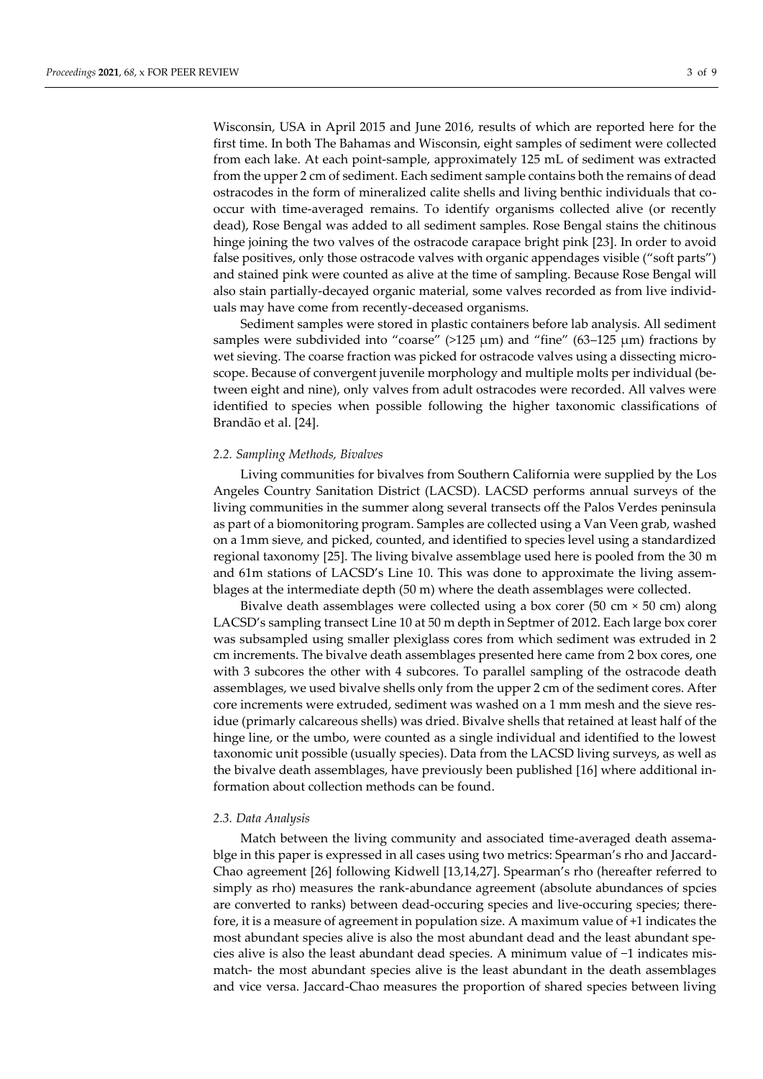Wisconsin, USA in April 2015 and June 2016, results of which are reported here for the first time. In both The Bahamas and Wisconsin, eight samples of sediment were collected from each lake. At each point-sample, approximately 125 mL of sediment was extracted from the upper 2 cm of sediment. Each sediment sample contains both the remains of dead ostracodes in the form of mineralized calite shells and living benthic individuals that cooccur with time-averaged remains. To identify organisms collected alive (or recently dead), Rose Bengal was added to all sediment samples. Rose Bengal stains the chitinous hinge joining the two valves of the ostracode carapace bright pink [23]. In order to avoid false positives, only those ostracode valves with organic appendages visible ("soft parts") and stained pink were counted as alive at the time of sampling. Because Rose Bengal will also stain partially-decayed organic material, some valves recorded as from live individuals may have come from recently-deceased organisms.

Sediment samples were stored in plastic containers before lab analysis. All sediment samples were subdivided into "coarse"  $(>125 \mu m)$  and "fine"  $(63-125 \mu m)$  fractions by wet sieving. The coarse fraction was picked for ostracode valves using a dissecting microscope. Because of convergent juvenile morphology and multiple molts per individual (between eight and nine), only valves from adult ostracodes were recorded. All valves were identified to species when possible following the higher taxonomic classifications of Brandão et al. [24].

## *2.2. Sampling Methods, Bivalves*

Living communities for bivalves from Southern California were supplied by the Los Angeles Country Sanitation District (LACSD). LACSD performs annual surveys of the living communities in the summer along several transects off the Palos Verdes peninsula as part of a biomonitoring program. Samples are collected using a Van Veen grab, washed on a 1mm sieve, and picked, counted, and identified to species level using a standardized regional taxonomy [25]. The living bivalve assemblage used here is pooled from the 30 m and 61m stations of LACSD's Line 10. This was done to approximate the living assemblages at the intermediate depth (50 m) where the death assemblages were collected.

Bivalve death assemblages were collected using a box corer (50 cm × 50 cm) along LACSD's sampling transect Line 10 at 50 m depth in Septmer of 2012. Each large box corer was subsampled using smaller plexiglass cores from which sediment was extruded in 2 cm increments. The bivalve death assemblages presented here came from 2 box cores, one with 3 subcores the other with 4 subcores. To parallel sampling of the ostracode death assemblages, we used bivalve shells only from the upper 2 cm of the sediment cores. After core increments were extruded, sediment was washed on a 1 mm mesh and the sieve residue (primarly calcareous shells) was dried. Bivalve shells that retained at least half of the hinge line, or the umbo, were counted as a single individual and identified to the lowest taxonomic unit possible (usually species). Data from the LACSD living surveys, as well as the bivalve death assemblages, have previously been published [16] where additional information about collection methods can be found.

#### *2.3. Data Analysis*

Match between the living community and associated time-averaged death assemablge in this paper is expressed in all cases using two metrics: Spearman's rho and Jaccard-Chao agreement [26] following Kidwell [13,14,27]. Spearman's rho (hereafter referred to simply as rho) measures the rank-abundance agreement (absolute abundances of spcies are converted to ranks) between dead-occuring species and live-occuring species; therefore, it is a measure of agreement in population size. A maximum value of +1 indicates the most abundant species alive is also the most abundant dead and the least abundant species alive is also the least abundant dead species. A minimum value of −1 indicates mismatch- the most abundant species alive is the least abundant in the death assemblages and vice versa. Jaccard-Chao measures the proportion of shared species between living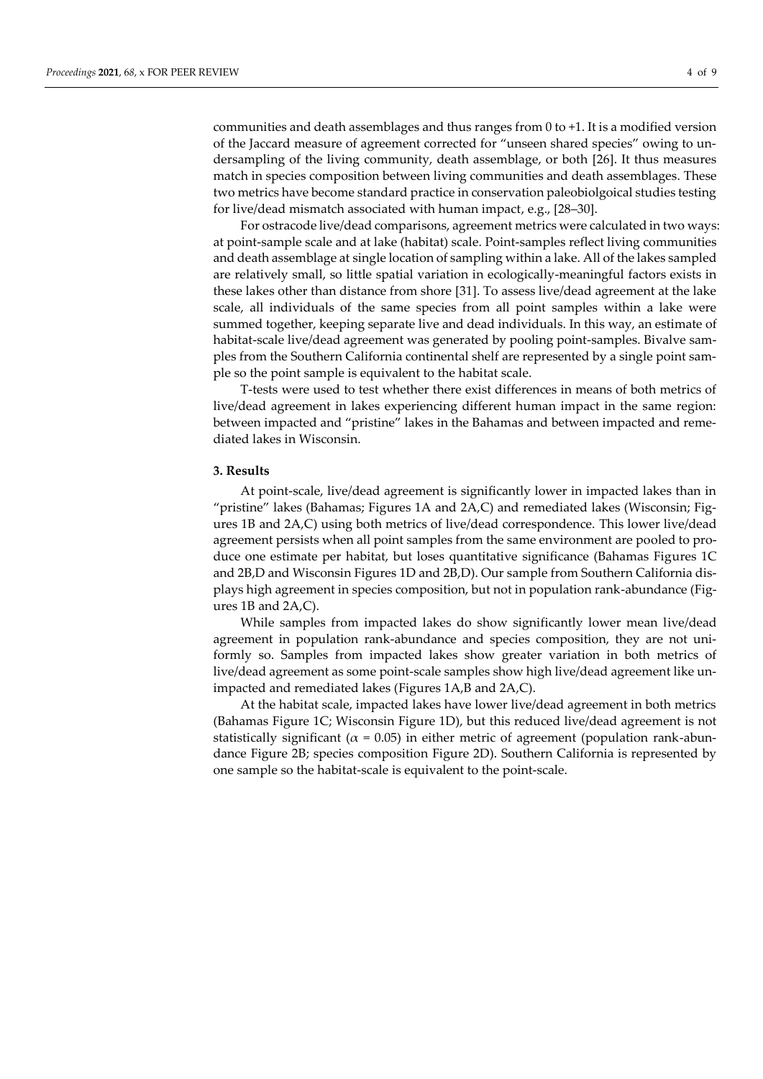communities and death assemblages and thus ranges from 0 to +1. It is a modified version of the Jaccard measure of agreement corrected for "unseen shared species" owing to undersampling of the living community, death assemblage, or both [26]. It thus measures match in species composition between living communities and death assemblages. These two metrics have become standard practice in conservation paleobiolgoical studies testing for live/dead mismatch associated with human impact, e.g., [28–30].

For ostracode live/dead comparisons, agreement metrics were calculated in two ways: at point-sample scale and at lake (habitat) scale. Point-samples reflect living communities and death assemblage at single location of sampling within a lake. All of the lakes sampled are relatively small, so little spatial variation in ecologically-meaningful factors exists in these lakes other than distance from shore [31]. To assess live/dead agreement at the lake scale, all individuals of the same species from all point samples within a lake were summed together, keeping separate live and dead individuals. In this way, an estimate of habitat-scale live/dead agreement was generated by pooling point-samples. Bivalve samples from the Southern California continental shelf are represented by a single point sample so the point sample is equivalent to the habitat scale.

T-tests were used to test whether there exist differences in means of both metrics of live/dead agreement in lakes experiencing different human impact in the same region: between impacted and "pristine" lakes in the Bahamas and between impacted and remediated lakes in Wisconsin.

#### **3. Results**

At point-scale, live/dead agreement is significantly lower in impacted lakes than in "pristine" lakes (Bahamas; Figures 1A and 2A,C) and remediated lakes (Wisconsin; Figures 1B and 2A,C) using both metrics of live/dead correspondence. This lower live/dead agreement persists when all point samples from the same environment are pooled to produce one estimate per habitat, but loses quantitative significance (Bahamas Figures 1C and 2B,D and Wisconsin Figures 1D and 2B,D). Our sample from Southern California displays high agreement in species composition, but not in population rank-abundance (Figures 1B and 2A,C).

While samples from impacted lakes do show significantly lower mean live/dead agreement in population rank-abundance and species composition, they are not uniformly so. Samples from impacted lakes show greater variation in both metrics of live/dead agreement as some point-scale samples show high live/dead agreement like unimpacted and remediated lakes (Figures 1A,B and 2A,C).

At the habitat scale, impacted lakes have lower live/dead agreement in both metrics (Bahamas Figure 1C; Wisconsin Figure 1D), but this reduced live/dead agreement is not statistically significant ( $\alpha$  = 0.05) in either metric of agreement (population rank-abundance Figure 2B; species composition Figure 2D). Southern California is represented by one sample so the habitat-scale is equivalent to the point-scale.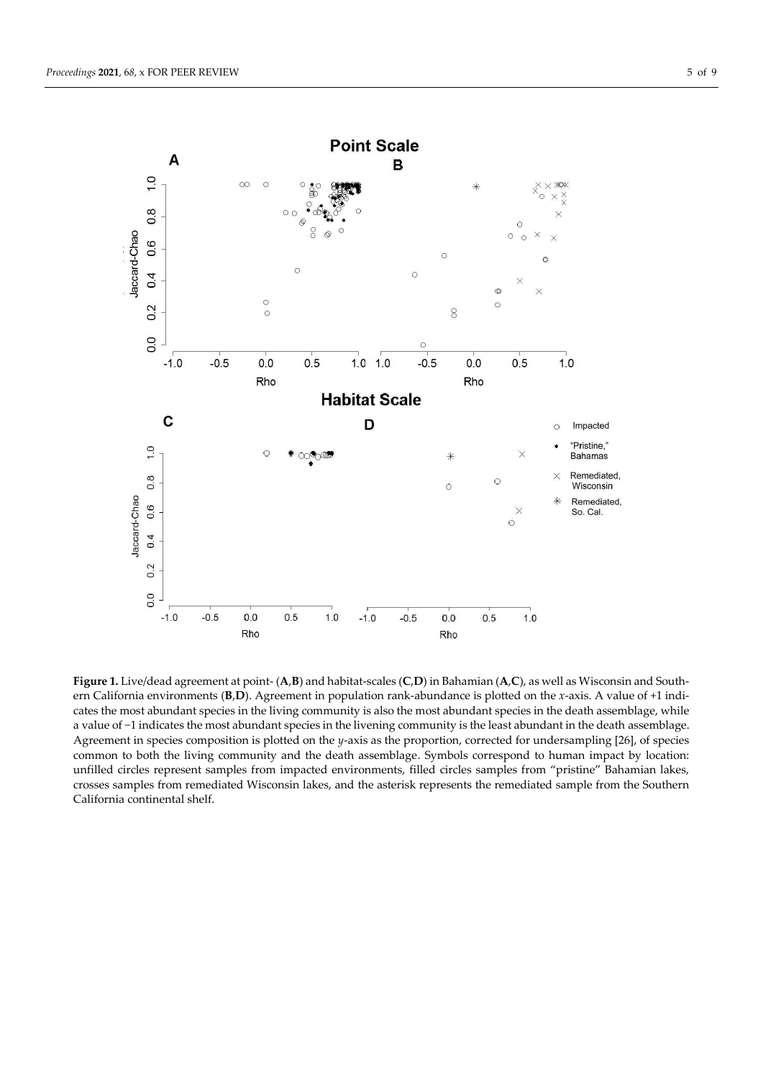

**Figure 1.** Live/dead agreement at point- (**A**,**B**) and habitat-scales (**C**,**D**) in Bahamian (**A**,**C**), as well as Wisconsin and Southern California environments (**B**,**D**). Agreement in population rank-abundance is plotted on the *x*-axis. A value of +1 indicates the most abundant species in the living community is also the most abundant species in the death assemblage, while a value of −1 indicates the most abundant species in the livening community is the least abundant in the death assemblage. Agreement in species composition is plotted on the *y*-axis as the proportion, corrected for undersampling [26], of species common to both the living community and the death assemblage. Symbols correspond to human impact by location: unfilled circles represent samples from impacted environments, filled circles samples from "pristine" Bahamian lakes, crosses samples from remediated Wisconsin lakes, and the asterisk represents the remediated sample from the Southern California continental shelf.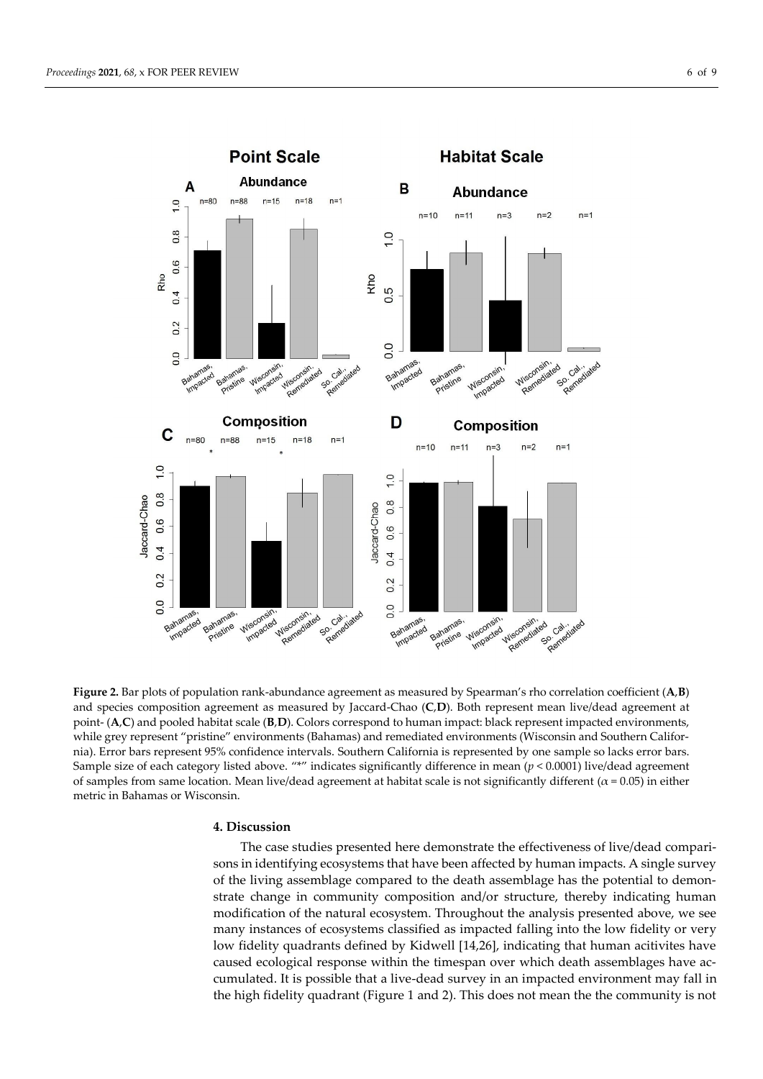

**Figure 2.** Bar plots of population rank-abundance agreement as measured by Spearman's rho correlation coefficient (**A**,**B**) and species composition agreement as measured by Jaccard-Chao (**C**,**D**). Both represent mean live/dead agreement at point- (**A**,**C**) and pooled habitat scale (**B**,**D**). Colors correspond to human impact: black represent impacted environments, while grey represent "pristine" environments (Bahamas) and remediated environments (Wisconsin and Southern California). Error bars represent 95% confidence intervals. Southern California is represented by one sample so lacks error bars. Sample size of each category listed above. "\*" indicates significantly difference in mean (*p* < 0.0001) live/dead agreement of samples from same location. Mean live/dead agreement at habitat scale is not significantly different ( $\alpha$  = 0.05) in either metric in Bahamas or Wisconsin.

# **4. Discussion**

The case studies presented here demonstrate the effectiveness of live/dead comparisons in identifying ecosystems that have been affected by human impacts. A single survey of the living assemblage compared to the death assemblage has the potential to demonstrate change in community composition and/or structure, thereby indicating human modification of the natural ecosystem. Throughout the analysis presented above, we see many instances of ecosystems classified as impacted falling into the low fidelity or very low fidelity quadrants defined by Kidwell [14,26], indicating that human acitivites have caused ecological response within the timespan over which death assemblages have accumulated. It is possible that a live-dead survey in an impacted environment may fall in the high fidelity quadrant (Figure 1 and 2). This does not mean the the community is not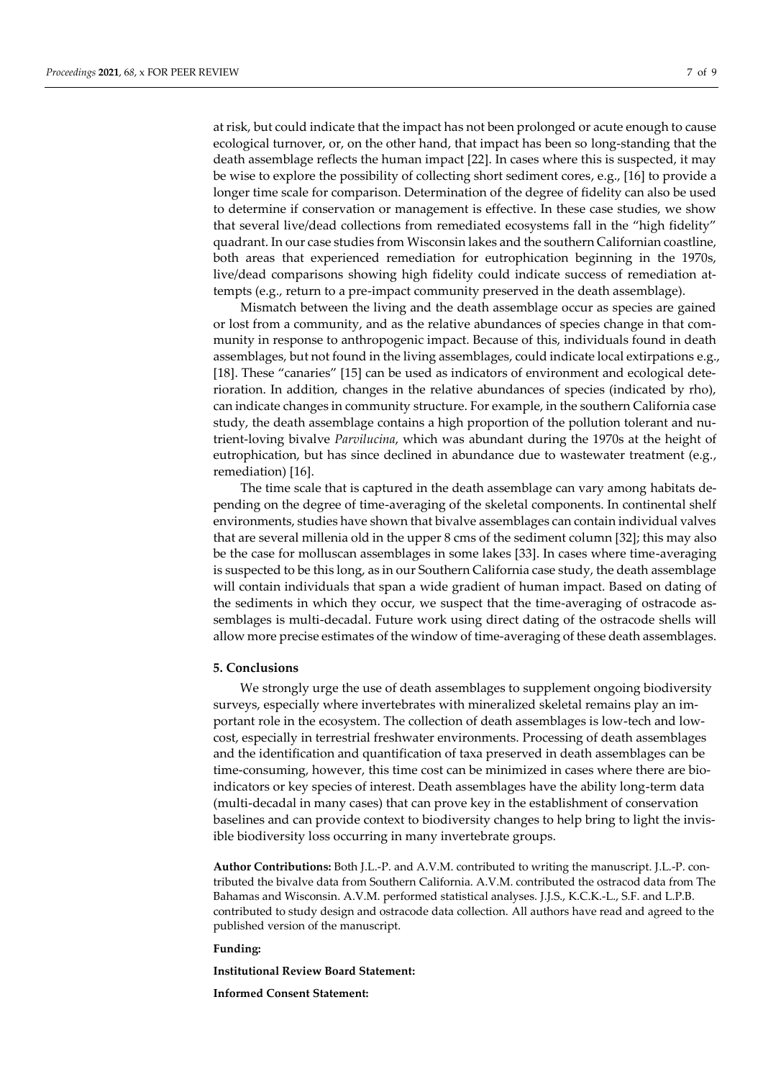at risk, but could indicate that the impact has not been prolonged or acute enough to cause ecological turnover, or, on the other hand, that impact has been so long-standing that the death assemblage reflects the human impact [22]. In cases where this is suspected, it may be wise to explore the possibility of collecting short sediment cores, e.g., [16] to provide a longer time scale for comparison. Determination of the degree of fidelity can also be used to determine if conservation or management is effective. In these case studies, we show that several live/dead collections from remediated ecosystems fall in the "high fidelity" quadrant. In our case studies from Wisconsin lakes and the southern Californian coastline, both areas that experienced remediation for eutrophication beginning in the 1970s, live/dead comparisons showing high fidelity could indicate success of remediation attempts (e.g., return to a pre-impact community preserved in the death assemblage).

Mismatch between the living and the death assemblage occur as species are gained or lost from a community, and as the relative abundances of species change in that community in response to anthropogenic impact. Because of this, individuals found in death assemblages, but not found in the living assemblages, could indicate local extirpations e.g., [18]. These "canaries" [15] can be used as indicators of environment and ecological deterioration. In addition, changes in the relative abundances of species (indicated by rho), can indicate changes in community structure. For example, in the southern California case study, the death assemblage contains a high proportion of the pollution tolerant and nutrient-loving bivalve *Parvilucina*, which was abundant during the 1970s at the height of eutrophication, but has since declined in abundance due to wastewater treatment (e.g., remediation) [16].

The time scale that is captured in the death assemblage can vary among habitats depending on the degree of time-averaging of the skeletal components. In continental shelf environments, studies have shown that bivalve assemblages can contain individual valves that are several millenia old in the upper 8 cms of the sediment column [32]; this may also be the case for molluscan assemblages in some lakes [33]. In cases where time-averaging is suspected to be this long, as in our Southern California case study, the death assemblage will contain individuals that span a wide gradient of human impact. Based on dating of the sediments in which they occur, we suspect that the time-averaging of ostracode assemblages is multi-decadal. Future work using direct dating of the ostracode shells will allow more precise estimates of the window of time-averaging of these death assemblages.

## **5. Conclusions**

We strongly urge the use of death assemblages to supplement ongoing biodiversity surveys, especially where invertebrates with mineralized skeletal remains play an important role in the ecosystem. The collection of death assemblages is low-tech and lowcost, especially in terrestrial freshwater environments. Processing of death assemblages and the identification and quantification of taxa preserved in death assemblages can be time-consuming, however, this time cost can be minimized in cases where there are bioindicators or key species of interest. Death assemblages have the ability long-term data (multi-decadal in many cases) that can prove key in the establishment of conservation baselines and can provide context to biodiversity changes to help bring to light the invisible biodiversity loss occurring in many invertebrate groups.

**Author Contributions:** Both J.L.-P. and A.V.M. contributed to writing the manuscript. J.L.-P. contributed the bivalve data from Southern California. A.V.M. contributed the ostracod data from The Bahamas and Wisconsin. A.V.M. performed statistical analyses. J.J.S., K.C.K.-L., S.F. and L.P.B. contributed to study design and ostracode data collection. All authors have read and agreed to the published version of the manuscript.

# **Funding:**

**Institutional Review Board Statement:**

**Informed Consent Statement:**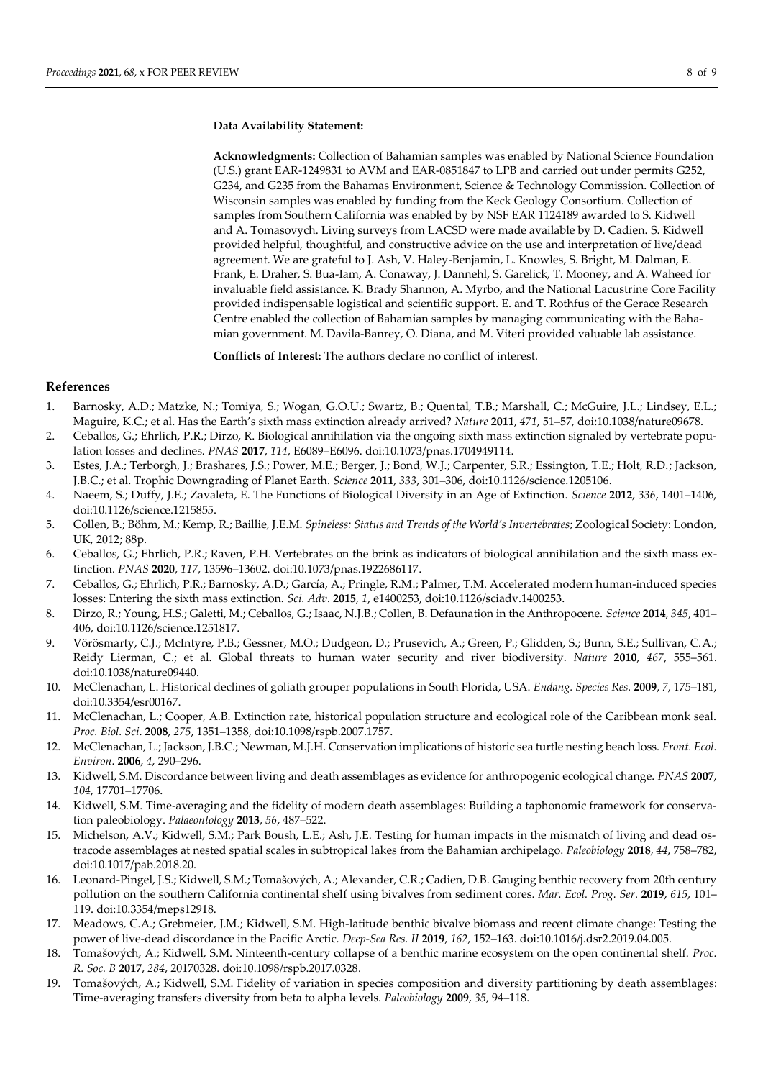**Acknowledgments:** Collection of Bahamian samples was enabled by National Science Foundation (U.S.) grant EAR-1249831 to AVM and EAR-0851847 to LPB and carried out under permits G252, G234, and G235 from the Bahamas Environment, Science & Technology Commission. Collection of Wisconsin samples was enabled by funding from the Keck Geology Consortium. Collection of samples from Southern California was enabled by by NSF EAR 1124189 awarded to S. Kidwell and A. Tomasovych. Living surveys from LACSD were made available by D. Cadien. S. Kidwell provided helpful, thoughtful, and constructive advice on the use and interpretation of live/dead agreement. We are grateful to J. Ash, V. Haley-Benjamin, L. Knowles, S. Bright, M. Dalman, E. Frank, E. Draher, S. Bua-Iam, A. Conaway, J. Dannehl, S. Garelick, T. Mooney, and A. Waheed for invaluable field assistance. K. Brady Shannon, A. Myrbo, and the National Lacustrine Core Facility provided indispensable logistical and scientific support. E. and T. Rothfus of the Gerace Research Centre enabled the collection of Bahamian samples by managing communicating with the Bahamian government. M. Davila-Banrey, O. Diana, and M. Viteri provided valuable lab assistance.

**Conflicts of Interest:** The authors declare no conflict of interest.

# **References**

- 1. Barnosky, A.D.; Matzke, N.; Tomiya, S.; Wogan, G.O.U.; Swartz, B.; Quental, T.B.; Marshall, C.; McGuire, J.L.; Lindsey, E.L.; Maguire, K.C.; et al. Has the Earth's sixth mass extinction already arrived? *Nature* **2011**, *471*, 51–57*,* doi:10.1038/nature09678.
- 2. Ceballos, G.; Ehrlich, P.R.; Dirzo, R. Biological annihilation via the ongoing sixth mass extinction signaled by vertebrate population losses and declines. *PNAS* **2017**, *114*, E6089–E6096. [doi:10.1073/pnas.1704949114.](http://www.pnas.org/cgi/doi/10.1073/pnas.1704949114)
- 3. Estes, J.A.; Terborgh, J.; Brashares, J.S.; Power, M.E.; Berger, J.; Bond, W.J.; Carpenter, S.R.; Essington, T.E.; Holt, R.D.; Jackson, J.B.C.; et al. Trophic Downgrading of Planet Earth. *Science* **2011**, *333*, 301–306, doi:10.1126/science.1205106.
- 4. Naeem, S.; Duffy, J.E.; Zavaleta, E. The Functions of Biological Diversity in an Age of Extinction. *Science* **2012**, *336*, 1401–1406, doi:10.1126/science.1215855.
- 5. Collen, B.; Böhm, M.; Kemp, R.; Baillie, J.E.M. *Spineless: Status and Trends of the World's Invertebrates*; Zoological Society: London, UK, 2012; 88p.
- 6. Ceballos, G.; Ehrlich, P.R.; Raven, P.H. Vertebrates on the brink as indicators of biological annihilation and the sixth mass extinction. *PNAS* **2020**, *117*, 13596–13602. [doi:10.1073/pnas.1922686117.](https://doi.org/10.1073/pnas.1922686117)
- 7. Ceballos, G.; Ehrlich, P.R.; Barnosky, A.D.; García, A.; Pringle, R.M.; Palmer, T.M. Accelerated modern human-induced species losses: Entering the sixth mass extinction. *Sci. Adv*. **2015**, *1*, e1400253, doi:10.1126/sciadv.1400253.
- 8. Dirzo, R.; Young, H.S.; Galetti, M.; Ceballos, G.; Isaac, N.J.B.; Collen, B. Defaunation in the Anthropocene. *Science* **2014**, *345*, 401– 406, doi:10.1126/science.1251817.
- 9. Vörösmarty, C.J.; McIntyre, P.B.; Gessner, M.O.; Dudgeon, D.; Prusevich, A.; Green, P.; Glidden, S.; Bunn, S.E.; Sullivan, C.A.; Reidy Lierman, C.; et al. Global threats to human water security and river biodiversity. *Nature* **2010**, *467*, 555–561. [doi:10.1038/nature09440.](https://doi.org/10.1038/nature09440)
- 10. McClenachan, L. Historical declines of goliath grouper populations in South Florida, USA. *Endang. Species Res.* **2009**, *7*, 175–181, doi:10.3354/esr00167.
- 11. McClenachan, L.; Cooper, A.B. Extinction rate, historical population structure and ecological role of the Caribbean monk seal. *Proc. Biol. Sci*. **2008**, *275*, 1351–1358, doi[:10.1098/rspb.2007.1757.](https://dx.doi.org/10.1098%2Frspb.2007.1757)
- 12. McClenachan, L.; Jackson, J.B.C.; Newman, M.J.H. Conservation implications of historic sea turtle nesting beach loss. *Front. Ecol. Environ*. **2006**, *4*, 290–296.
- 13. Kidwell, S.M. Discordance between living and death assemblages as evidence for anthropogenic ecological change. *PNAS* **2007**, *104*, 17701–17706.
- 14. Kidwell, S.M. Time-averaging and the fidelity of modern death assemblages: Building a taphonomic framework for conservation paleobiology. *Palaeontology* **2013**, *56*, 487–522.
- 15. Michelson, A.V.; Kidwell, S.M.; Park Boush, L.E.; Ash, J.E. Testing for human impacts in the mismatch of living and dead ostracode assemblages at nested spatial scales in subtropical lakes from the Bahamian archipelago. *Paleobiology* **2018**, *44*, 758–782, doi:10.1017/pab.2018.20.
- 16. Leonard-Pingel, J.S.; Kidwell, S.M.; Tomašových, A.; Alexander, C.R.; Cadien, D.B. Gauging benthic recovery from 20th century pollution on the southern California continental shelf using bivalves from sediment cores. *Mar. Ecol. Prog. Ser*. **2019**, *615*, 101– 119[. doi:10.3354/meps12918.](https://doi.org/10.3354/meps12918)
- 17. Meadows, C.A.; Grebmeier, J.M.; Kidwell, S.M. High-latitude benthic bivalve biomass and recent climate change: Testing the power of live-dead discordance in the Pacific Arctic. *Deep-Sea Res. II* **2019**, *162*, 152–163[. doi:10.1016/j.dsr2.2019.04.005.](https://doi.org/10.1016/j.dsr2.2019.04.005)
- 18. Tomašových, A.; Kidwell, S.M. Ninteenth-century collapse of a benthic marine ecosystem on the open continental shelf. *Proc. R. Soc. B* **2017**, *284*, 20170328. doi:10.1098/rspb.2017.0328.
- 19. Tomašových, A.; Kidwell, S.M. Fidelity of variation in species composition and diversity partitioning by death assemblages: Time-averaging transfers diversity from beta to alpha levels. *Paleobiology* **2009**, *35*, 94–118.